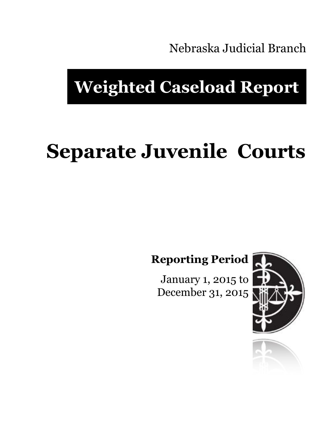Nebraska Judicial Branch

# **Weighted Caseload Report**

# **Separate Juvenile Courts**

**Reporting Period**

January 1, 2015 to December 31, 2015



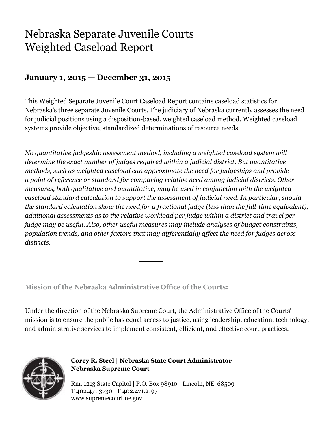## Nebraska Separate Juvenile Courts Weighted Caseload Report

### **January 1, 2015 — December 31, 2015**

This Weighted Separate Juvenile Court Caseload Report contains caseload statistics for Nebraska's three separate Juvenile Courts. The judiciary of Nebraska currently assesses the need for judicial positions using a disposition-based, weighted caseload method. Weighted caseload systems provide objective, standardized determinations of resource needs.

*No quantitative judgeship assessment method, including a weighted caseload system will determine the exact number of judges required within a judicial district. But quantitative methods, such as weighted caseload can approximate the need for judgeships and provide a point of reference or standard for comparing relative need among judicial districts. Other measures, both qualitative and quantitative, may be used in conjunction with the weighted caseload standard calculation to support the assessment of judicial need. In particular, should the standard calculation show the need for a fractional judge (less than the full-time equivalent), additional assessments as to the relative workload per judge within a district and travel per judge may be useful. Also, other useful measures may include analyses of budget constraints, population trends, and other factors that may differentially affect the need for judges across districts.*

**Mission of the Nebraska Administrative Office of the Courts:**

Under the direction of the Nebraska Supreme Court, the Administrative Office of the Courts' mission is to ensure the public has equal access to justice, using leadership, education, technology, and administrative services to implement consistent, efficient, and effective court practices.



**Corey R. Steel | Nebraska State Court Administrator Nebraska Supreme Court**

Rm. 1213 State Capitol | P.O. Box 98910 | Lincoln, NE 68509 T 402.471.3730 | F 402.471.2197 www.supremecourt.ne.gov